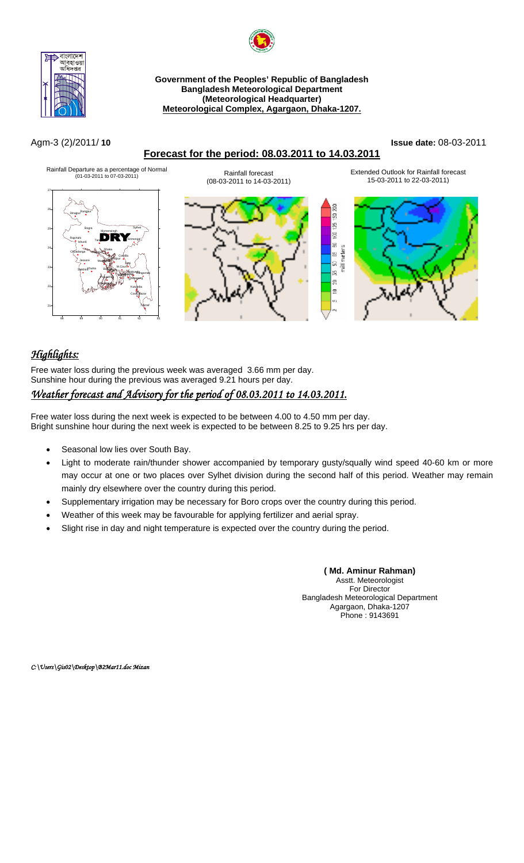



## **Forecast for the period: 08.03.2011 to 14.03.2011**

#### Agm-3 (2)/2011/ **10 Issue date:** 08-03-2011



# *Highlights:*

Free water loss during the previous week was averaged 3.66 mm per day. Sunshine hour during the previous was averaged 9.21 hours per day.

# *Weather forecast and Advisory for the period of 08.03.2011 to 14.03.2011.*

Free water loss during the next week is expected to be between 4.00 to 4.50 mm per day. Bright sunshine hour during the next week is expected to be between 8.25 to 9.25 hrs per day.

- Seasonal low lies over South Bay.
- Light to moderate rain/thunder shower accompanied by temporary gusty/squally wind speed 40-60 km or more may occur at one or two places over Sylhet division during the second half of this period. Weather may remain mainly dry elsewhere over the country during this period.
- Supplementary irrigation may be necessary for Boro crops over the country during this period.
- Weather of this week may be favourable for applying fertilizer and aerial spray.
- Slight rise in day and night temperature is expected over the country during the period.

**( Md. Aminur Rahman)**  Asstt. Meteorologist For Director Bangladesh Meteorological Department Agargaon, Dhaka-1207 Phone : 9143691

*C:\Users\Gis02\Desktop\B2Mar11.doc Mizan*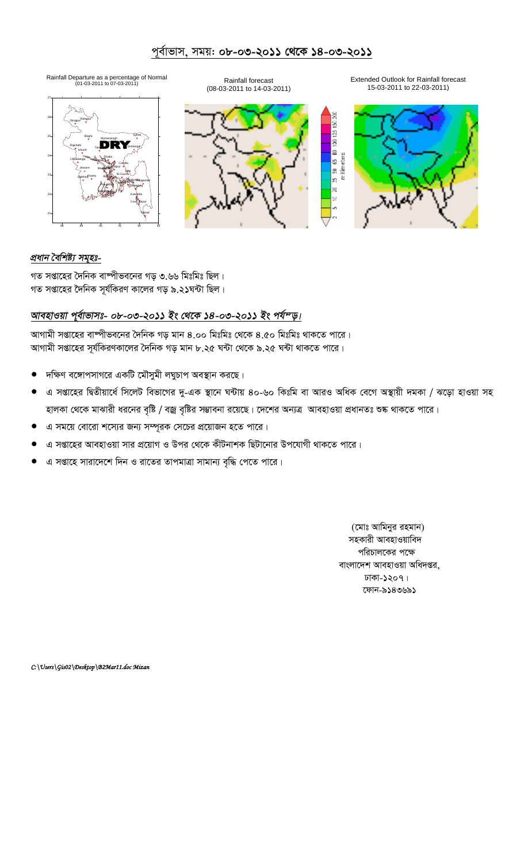# পূর্বাভাস, সময়: **০৮-০৩-২০১১ থেকে ১৪-০৩-২০১১**







Rainfall Departure as a percentage of Normal (01-03-2011 to 07-03-2011) Rainfall forecast Extended Outlook for Rainfall forecast (08-03-2011 to 14-03-2011) 15-03-2011 to 22-03-2011)



### *প্ৰধান বৈশিষ্ট্য সমূহঃ-*

গত সপ্তাহের দৈনিক বাম্পীভবনের গড় ৩.৬৬ মিঃমিঃ ছিল। গত সপ্তাহের দৈনিক সূর্যকিরণ কালের গড় ৯.২১ঘন্টা ছিল।

#### আবহাওয়া পূৰ্বাভাসঃ- ০৮-০৩-২০১১ ইং থেকে ১৪-০৩-২০১১ ইং পৰ্য<sup>ন</sup>ড়।

আগামী সপ্তাহের বাষ্পীভবনের দৈনিক গড় মান ৪.০০ মিঃমিঃ থেকে ৪.৫০ মিঃমিঃ থাকতে পারে। আগামী সপ্তাহের সূর্যকিরণকালের দৈনিক গড় মান ৮.২৫ ঘন্টা থেকে ৯.২৫ ঘন্টা থাকতে পারে।

- $\bullet$  দক্ষিণ বঙ্গোপসাগরে একটি মৌসুমী লঘুচাপ অবস্থান করছে।
- এ সপ্তাহের দ্বিতীয়ার্ধে সিলেট বিভাগের দু-এক স্থানে ঘন্টায় ৪০-৬০ কিঃমি বা আরও অধিক বেগে অস্থায়ী দমকা / ঝড়ো হাওয়া সহ হালকা থেকে মাঝারী ধরনের বৃষ্টি / বজ্র বৃষ্টির সম্ভাবনা রয়েছে। দেশের অন্যত্র আবহাওয়া প্রধানতঃ শুষ্ক থাকতে পারে।
- এ সময়ে বোরো শস্যের জন্য সম্পূরক সেচের প্রয়োজন হতে পারে।
- এ সপ্তাহের আবহাওয়া সার প্রয়োগ ও উপর থেকে কীটনাশক ছিটানোর উপযোগী থাকতে পারে।
- এ সপ্তাহে সারাদেশে দিন ও রাতের তাপমাত্রা সামান্য বৃদ্ধি পেতে পারে।

(মোঃ আমিনুর রহমান) সহকারী আবহাওয়াবিদ পরিচালকের পক্ষে বাংলাদেশ আবহাওয়া অধিদপ্তর, ঢাকা-১২০৭। কোন-৯১৪৩৬৯১

*C:\Users\Gis02\Desktop\B2Mar11.doc Mizan*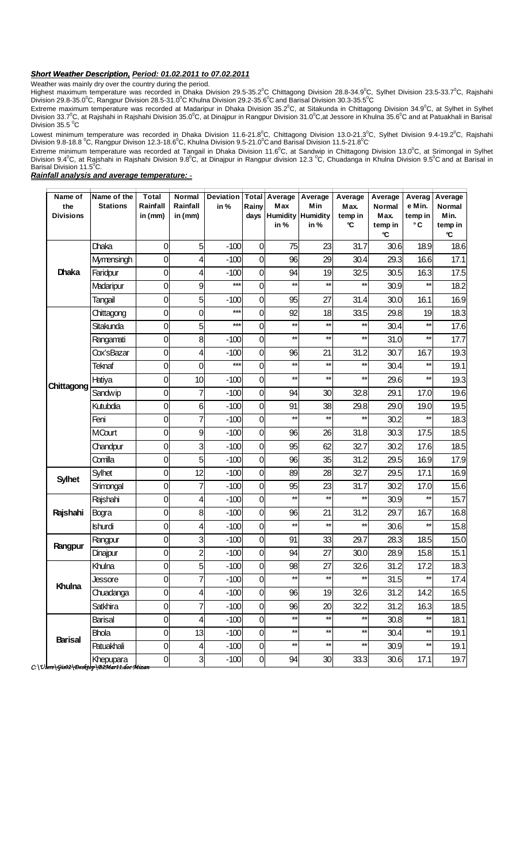#### *Short Weather Description, Period: 01.02.2011 to 07.02.2011*

Weather was mainly dry over the country during the period.

Highest maximum temperature was recorded in Dhaka Division 29.5-35.2°C Chittagong Division 28.8-34.9°C, Sylhet Division 23.5-33.7°C, Rajshahi<br>Division 29.8-35.0°C, Rangpur Division 28.5-31.0°C Khulna Division 29.2-35.6°C a

Extreme maximum temperature was recorded at Madaripur in Dhaka Division 35.2°C, at Sitakunda in Chittagong Division 34.9°C, at Sylhet in Sylhet Division 33.7°C, at Rajshahi in Rajshahi Division 35.0°C, at Dinajpur in Rangpur Division 31.0°C,at Jessore in Khulna 35.6°C and at Patuakhali in Barisal Division  $35.5\text{ °C}$ 

Lowest minimum temperature was recorded in Dhaka Division 11.6-21.8<sup>0</sup>C, Chittagong Division 13.0-21.3<sup>0</sup>C, Sylhet Division 9.4-19.2<sup>0</sup>C, Rajshahi<br>Division 9.8-18.8 <sup>0</sup>C, Rangpur Divison 12.3-18.6<sup>0</sup>C, Khulna Division 9.5-

Extreme minimum temperature was recorded at Tangail in Dhaka Division 11.6°C, at Sandwip in Chittagong Division 13.0°C, at Srimongal in Sylhet<br>Division 9.4°C, at Rajshahi in Rajshahi Division 9.8°C, at Dinajpur in Rangpur

*Rainfall analysis and average temperature: -*

| Name of<br>the<br><b>Divisions</b> | Name of the<br><b>Stations</b> | <b>Total</b><br>Rainfall<br>in $(mm)$ | <b>Normal</b><br>Rainfall<br>in (mm) | <b>Deviation</b><br>in % | Rainy<br>days | <b>Total Average</b><br>Max<br><b>Humidity Humidity</b><br>in % | Average<br>Min<br>in % | Average<br>Max.<br>temp in<br>°C | Average<br><b>Normal</b><br>Max.<br>temp in<br>°C | Averag<br>e Min.<br>temp in<br>°C | Average<br><b>Normal</b><br>Min.<br>temp in<br>°C |
|------------------------------------|--------------------------------|---------------------------------------|--------------------------------------|--------------------------|---------------|-----------------------------------------------------------------|------------------------|----------------------------------|---------------------------------------------------|-----------------------------------|---------------------------------------------------|
| <b>Dhaka</b>                       | Dhaka                          | 0                                     | 5                                    | $-100$                   | 0             | 75                                                              | 23                     | 31.7                             | 30.6                                              | 18.9                              | 18.6                                              |
|                                    | Mymensingh                     | 0                                     | 4                                    | $-100$                   | 0             | 96                                                              | 29                     | 30.4                             | 29.3                                              | 16.6                              | 17.1                                              |
|                                    | Faridpur                       | 0                                     | 4                                    | $-100$                   | 0             | 94                                                              | 19                     | 32.5                             | 30.5                                              | 16.3                              | 17.5                                              |
|                                    | Madaripur                      | 0                                     | 9                                    | $***$                    | 0             | $\star\star$                                                    | $\star\star$           | $\star\star$                     | 30.9                                              | $\star\star$                      | 18.2                                              |
|                                    | Tangail                        | 0                                     | 5                                    | $-100$                   | 0             | 95                                                              | 27                     | 31.4                             | 30.0                                              | 16.1                              | 16.9                                              |
| Chittagong                         | Chittagong                     | 0                                     | 0                                    | $***$                    | 0             | 92                                                              | 18                     | 33.5                             | 29.8                                              | 19                                | 18.3                                              |
|                                    | Sitakunda                      | 0                                     | 5                                    | $***$                    | 0             | $\star\star$                                                    | $\star\star$           | $\star\star$                     | 30.4                                              | $\star\star$                      | 17.6                                              |
|                                    | Rangamati                      | 0                                     | 8                                    | $-100$                   | 0             | $\star\star$                                                    | $\star\star$           | $\star\star$                     | 31.0                                              | $\star\star$                      | 17.7                                              |
|                                    | Cox'sBazar                     | 0                                     | 4                                    | $-100$                   | 0             | 96                                                              | 21                     | 31.2                             | 30.7                                              | 16.7                              | 19.3                                              |
|                                    | <b>Teknaf</b>                  | 0                                     | 0                                    | $***$                    | 0             | $\star\star$                                                    | $\star\star$           | $\star\star$                     | 30.4                                              | $\star\star$                      | 19.1                                              |
|                                    | Hatiya                         | 0                                     | 10                                   | $-100$                   | 0             | $\star\star$                                                    | $\star\star$           | $^{\star\star}$                  | 29.6                                              | $\star\star$                      | 19.3                                              |
|                                    | <b>Sandwip</b>                 | 0                                     |                                      | $-100$                   | 0             | 94                                                              | 30                     | 32.8                             | 29.1                                              | 17.0                              | 19.6                                              |
|                                    | Kutubdia                       | 0                                     | 6                                    | $-100$                   | 0             | 91                                                              | 38                     | 29.8                             | 29.0                                              | 19.0                              | 19.5                                              |
|                                    | Feni                           | 0                                     | 7                                    | $-100$                   | 0             | $\star\star$                                                    | $\star\star$           | $\star\star$                     | 30.2                                              | $\star\star$                      | 18.3                                              |
|                                    | <b>MCourt</b>                  | 0                                     | 9                                    | $-100$                   | 0             | 96                                                              | 26                     | 31.8                             | 30.3                                              | 17.5                              | 18.5                                              |
|                                    | Chandpur                       | 0                                     | 3                                    | $-100$                   | 0             | 95                                                              | 62                     | 32.7                             | 30.2                                              | 17.6                              | 18.5                                              |
|                                    | Comilla                        | 0                                     | 5                                    | $-100$                   | 0             | 96                                                              | 35                     | 31.2                             | 29.5                                              | 16.9                              | 17.9                                              |
| <b>Sylhet</b>                      | Sylhet                         | 0                                     | 12                                   | $-100$                   | 0             | 89                                                              | 28                     | 32.7                             | 29.5                                              | 17.1                              | 16.9                                              |
|                                    | Srimongal                      | 0                                     | 7                                    | $-100$                   | 0             | 95                                                              | 23                     | 31.7                             | 30.2                                              | 17.0                              | 15.6                                              |
| Rajshahi                           | Rajshahi                       | 0                                     | 4                                    | $-100$                   | 0             | $\star\star$                                                    | $\star\star$           | $\star\star$                     | 30.9                                              | $\star\star$                      | 15.7                                              |
|                                    | Bogra                          | 0                                     | 8                                    | $-100$                   | 0             | 96                                                              | 21                     | 31.2                             | 29.7                                              | 16.7                              | 16.8                                              |
|                                    | <b>Ishurdi</b>                 | 0                                     | 4                                    | $-100$                   | 0             | $\star\star$                                                    | $\star\star$           | $\star\star$                     | 30.6                                              | $\star\star$                      | 15.8                                              |
| Rangpur                            | Rangpur                        | 0                                     | 3                                    | $-100$                   | 0             | 91                                                              | 33                     | 29.7                             | 28.3                                              | 18.5                              | 15.0                                              |
|                                    | Dinajpur                       | 0                                     | $\overline{2}$                       | $-100$                   | 0             | 94                                                              | 27                     | 30.0                             | 28.9                                              | 15.8                              | 15.1                                              |
| Khulna                             | Khulna                         | 0                                     | 5                                    | $-100$                   | 0             | 98                                                              | 27                     | 32.6                             | 31.2                                              | 17.2                              | 18.3                                              |
|                                    | Jessore                        | $\overline{0}$                        | $\overline{7}$                       | $-100$                   | $\mathbf 0$   | $\star\star$                                                    | $\star\star$           | $\star\star$                     | 31.5                                              | **                                | 17.4                                              |
|                                    | Chuadanga                      | 0                                     | 4                                    | $-100$                   | 0             | 96                                                              | 19                     | 32.6                             | 31.2                                              | 14.2                              | 16.5                                              |
|                                    | Satkhira                       | 0                                     | 7                                    | $-100$                   | $\mathbf 0$   | 96                                                              | 20                     | 32.2                             | 31.2                                              | 16.3                              | 18.5                                              |
| <b>Barisal</b>                     | Barisal                        | 0                                     | 4                                    | $-100$                   | $\mathbf 0$   | $\star\star$                                                    | $\star\star$           | $\star\star$                     | 30.8                                              | $\star\star$                      | 18.1                                              |
|                                    | <b>Bhola</b>                   | 0                                     | 13                                   | $-100$                   | $\mathbf 0$   | $\star\star$                                                    | $\star\star$           | $\star\star$                     | 30.4                                              | $\star\star$                      | 19.1                                              |
|                                    | Patuakhali                     | $\overline{0}$                        | 4                                    | $-100$                   | $\mathbf 0$   | $\star\star$                                                    | $\star\star$           | $\star\star$                     | 30.9                                              | $^{\star\star}$                   | 19.1                                              |
|                                    | Khepupara                      | $\overline{O}$                        | 3                                    | $-100$                   | $\mathbf 0$   | 94                                                              | 30                     | 33.3                             | 30.6                                              | 17.1                              | 19.7                                              |

*C:\U sers\Gis02\Desktop\B2Mar11.doc Mizan*